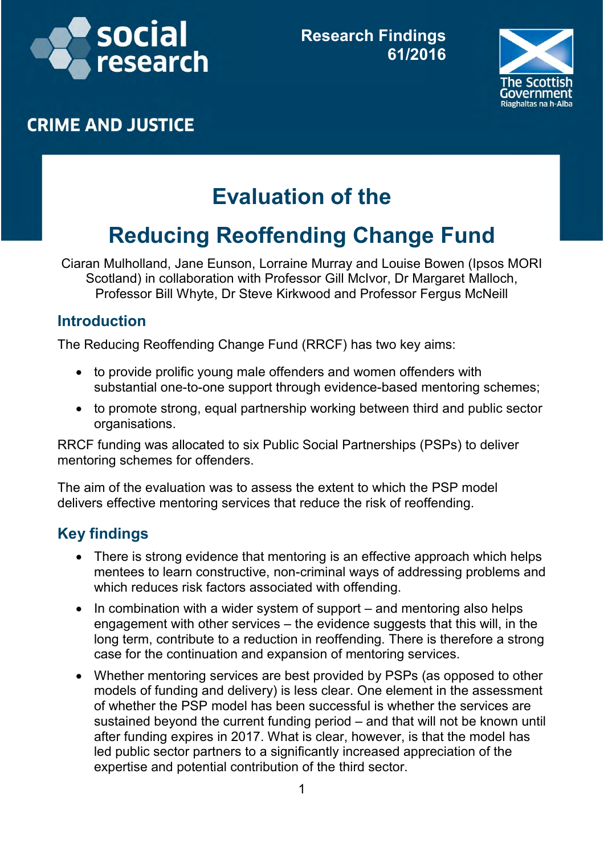



## **CRIME AND JUSTICE**

# **Evaluation of the**

## **Reducing Reoffending Change Fund**

Ciaran Mulholland, Jane Eunson, Lorraine Murray and Louise Bowen (Ipsos MORI Scotland) in collaboration with Professor Gill McIvor, Dr Margaret Malloch, Professor Bill Whyte, Dr Steve Kirkwood and Professor Fergus McNeill

#### **Introduction**

The Reducing Reoffending Change Fund (RRCF) has two key aims:

- to provide prolific young male offenders and women offenders with substantial one-to-one support through evidence-based mentoring schemes;
- to promote strong, equal partnership working between third and public sector organisations.

RRCF funding was allocated to six Public Social Partnerships (PSPs) to deliver mentoring schemes for offenders.

The aim of the evaluation was to assess the extent to which the PSP model delivers effective mentoring services that reduce the risk of reoffending.

## **Key findings**

- There is strong evidence that mentoring is an effective approach which helps mentees to learn constructive, non-criminal ways of addressing problems and which reduces risk factors associated with offending.
- $\bullet$  In combination with a wider system of support  $-$  and mentoring also helps engagement with other services – the evidence suggests that this will, in the long term, contribute to a reduction in reoffending. There is therefore a strong case for the continuation and expansion of mentoring services.
- Whether mentoring services are best provided by PSPs (as opposed to other models of funding and delivery) is less clear. One element in the assessment of whether the PSP model has been successful is whether the services are sustained beyond the current funding period – and that will not be known until after funding expires in 2017. What is clear, however, is that the model has led public sector partners to a significantly increased appreciation of the expertise and potential contribution of the third sector.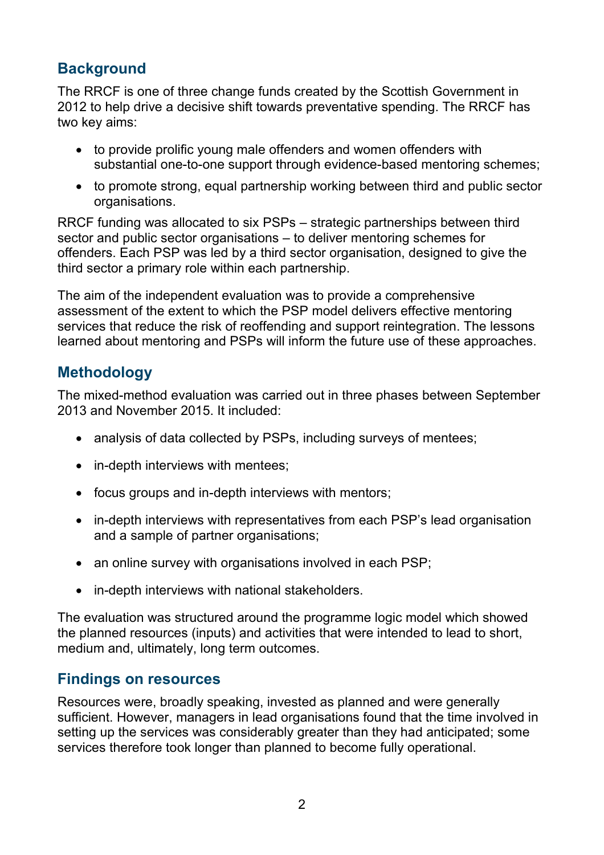## **Background**

The RRCF is one of three change funds created by the Scottish Government in 2012 to help drive a decisive shift towards preventative spending. The RRCF has two key aims:

- to provide prolific young male offenders and women offenders with substantial one-to-one support through evidence-based mentoring schemes;
- to promote strong, equal partnership working between third and public sector organisations.

RRCF funding was allocated to six PSPs – strategic partnerships between third sector and public sector organisations – to deliver mentoring schemes for offenders. Each PSP was led by a third sector organisation, designed to give the third sector a primary role within each partnership.

The aim of the independent evaluation was to provide a comprehensive assessment of the extent to which the PSP model delivers effective mentoring services that reduce the risk of reoffending and support reintegration. The lessons learned about mentoring and PSPs will inform the future use of these approaches.

## **Methodology**

The mixed-method evaluation was carried out in three phases between September 2013 and November 2015. It included:

- analysis of data collected by PSPs, including surveys of mentees;
- in-depth interviews with mentees;
- focus groups and in-depth interviews with mentors;
- in-depth interviews with representatives from each PSP's lead organisation and a sample of partner organisations;
- an online survey with organisations involved in each PSP;
- in-depth interviews with national stakeholders.

The evaluation was structured around the programme logic model which showed the planned resources (inputs) and activities that were intended to lead to short, medium and, ultimately, long term outcomes.

#### **Findings on resources**

Resources were, broadly speaking, invested as planned and were generally sufficient. However, managers in lead organisations found that the time involved in setting up the services was considerably greater than they had anticipated; some services therefore took longer than planned to become fully operational.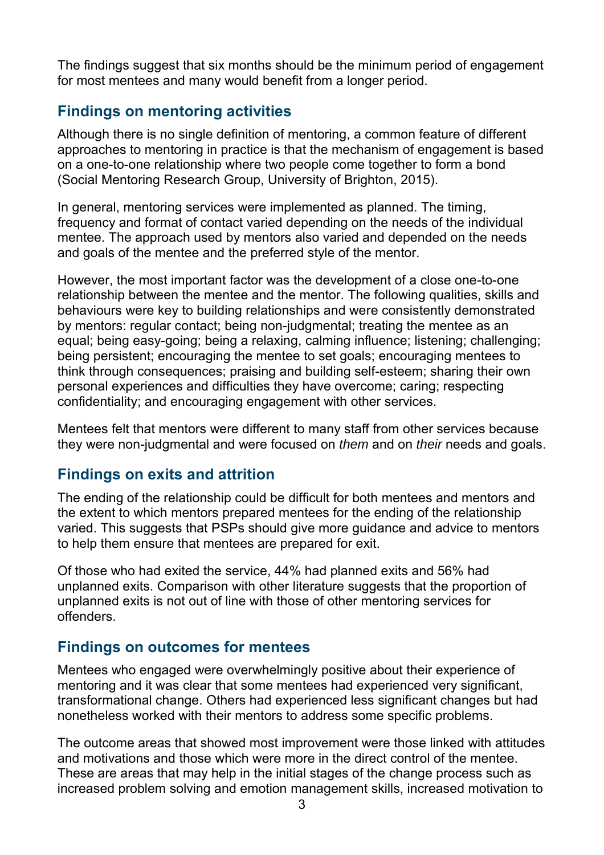The findings suggest that six months should be the minimum period of engagement for most mentees and many would benefit from a longer period.

## **Findings on mentoring activities**

Although there is no single definition of mentoring, a common feature of different approaches to mentoring in practice is that the mechanism of engagement is based on a one-to-one relationship where two people come together to form a bond (Social Mentoring Research Group, University of Brighton, 2015).

In general, mentoring services were implemented as planned. The timing, frequency and format of contact varied depending on the needs of the individual mentee. The approach used by mentors also varied and depended on the needs and goals of the mentee and the preferred style of the mentor.

However, the most important factor was the development of a close one-to-one relationship between the mentee and the mentor. The following qualities, skills and behaviours were key to building relationships and were consistently demonstrated by mentors: regular contact; being non-judgmental; treating the mentee as an equal; being easy-going; being a relaxing, calming influence; listening; challenging; being persistent; encouraging the mentee to set goals; encouraging mentees to think through consequences; praising and building self-esteem; sharing their own personal experiences and difficulties they have overcome; caring; respecting confidentiality; and encouraging engagement with other services.

Mentees felt that mentors were different to many staff from other services because they were non-judgmental and were focused on *them* and on *their* needs and goals.

## **Findings on exits and attrition**

The ending of the relationship could be difficult for both mentees and mentors and the extent to which mentors prepared mentees for the ending of the relationship varied. This suggests that PSPs should give more guidance and advice to mentors to help them ensure that mentees are prepared for exit.

Of those who had exited the service, 44% had planned exits and 56% had unplanned exits. Comparison with other literature suggests that the proportion of unplanned exits is not out of line with those of other mentoring services for offenders.

#### **Findings on outcomes for mentees**

Mentees who engaged were overwhelmingly positive about their experience of mentoring and it was clear that some mentees had experienced very significant, transformational change. Others had experienced less significant changes but had nonetheless worked with their mentors to address some specific problems.

The outcome areas that showed most improvement were those linked with attitudes and motivations and those which were more in the direct control of the mentee. These are areas that may help in the initial stages of the change process such as increased problem solving and emotion management skills, increased motivation to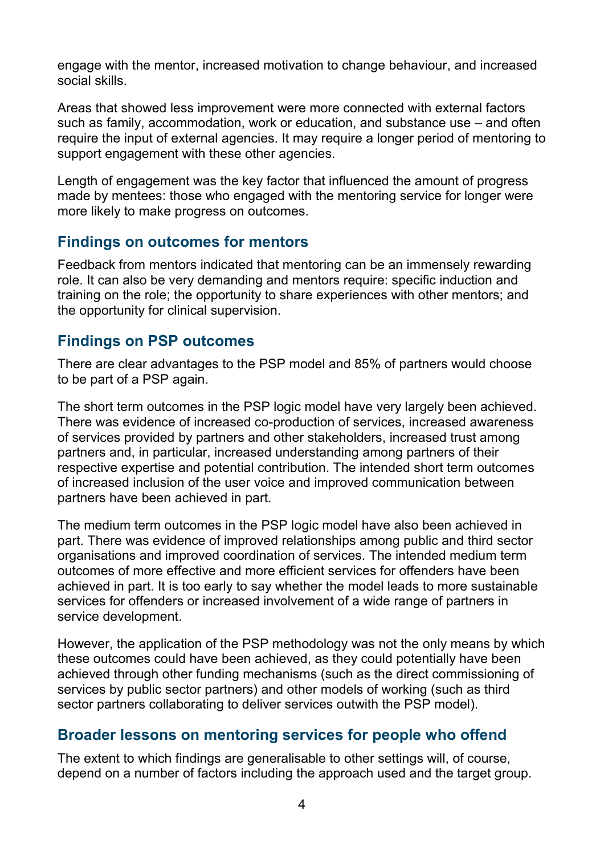engage with the mentor, increased motivation to change behaviour, and increased social skills.

Areas that showed less improvement were more connected with external factors such as family, accommodation, work or education, and substance use – and often require the input of external agencies. It may require a longer period of mentoring to support engagement with these other agencies.

Length of engagement was the key factor that influenced the amount of progress made by mentees: those who engaged with the mentoring service for longer were more likely to make progress on outcomes.

#### **Findings on outcomes for mentors**

Feedback from mentors indicated that mentoring can be an immensely rewarding role. It can also be very demanding and mentors require: specific induction and training on the role; the opportunity to share experiences with other mentors; and the opportunity for clinical supervision.

#### **Findings on PSP outcomes**

There are clear advantages to the PSP model and 85% of partners would choose to be part of a PSP again.

The short term outcomes in the PSP logic model have very largely been achieved. There was evidence of increased co-production of services, increased awareness of services provided by partners and other stakeholders, increased trust among partners and, in particular, increased understanding among partners of their respective expertise and potential contribution. The intended short term outcomes of increased inclusion of the user voice and improved communication between partners have been achieved in part.

The medium term outcomes in the PSP logic model have also been achieved in part. There was evidence of improved relationships among public and third sector organisations and improved coordination of services. The intended medium term outcomes of more effective and more efficient services for offenders have been achieved in part. It is too early to say whether the model leads to more sustainable services for offenders or increased involvement of a wide range of partners in service development.

However, the application of the PSP methodology was not the only means by which these outcomes could have been achieved, as they could potentially have been achieved through other funding mechanisms (such as the direct commissioning of services by public sector partners) and other models of working (such as third sector partners collaborating to deliver services outwith the PSP model).

#### **Broader lessons on mentoring services for people who offend**

The extent to which findings are generalisable to other settings will, of course, depend on a number of factors including the approach used and the target group.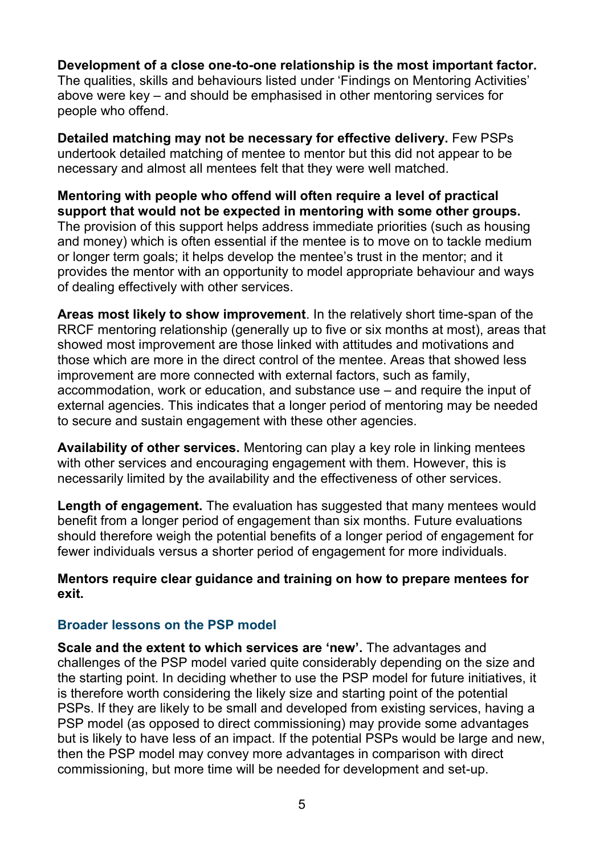**Development of a close one-to-one relationship is the most important factor.** The qualities, skills and behaviours listed under 'Findings on Mentoring Activities' above were key – and should be emphasised in other mentoring services for people who offend.

**Detailed matching may not be necessary for effective delivery.** Few PSPs undertook detailed matching of mentee to mentor but this did not appear to be necessary and almost all mentees felt that they were well matched.

**Mentoring with people who offend will often require a level of practical support that would not be expected in mentoring with some other groups.** The provision of this support helps address immediate priorities (such as housing and money) which is often essential if the mentee is to move on to tackle medium or longer term goals; it helps develop the mentee's trust in the mentor; and it provides the mentor with an opportunity to model appropriate behaviour and ways of dealing effectively with other services.

**Areas most likely to show improvement**. In the relatively short time-span of the RRCF mentoring relationship (generally up to five or six months at most), areas that showed most improvement are those linked with attitudes and motivations and those which are more in the direct control of the mentee. Areas that showed less improvement are more connected with external factors, such as family, accommodation, work or education, and substance use – and require the input of external agencies. This indicates that a longer period of mentoring may be needed to secure and sustain engagement with these other agencies.

**Availability of other services.** Mentoring can play a key role in linking mentees with other services and encouraging engagement with them. However, this is necessarily limited by the availability and the effectiveness of other services.

**Length of engagement.** The evaluation has suggested that many mentees would benefit from a longer period of engagement than six months. Future evaluations should therefore weigh the potential benefits of a longer period of engagement for fewer individuals versus a shorter period of engagement for more individuals.

#### **Mentors require clear guidance and training on how to prepare mentees for exit.**

#### **Broader lessons on the PSP model**

**Scale and the extent to which services are 'new'.** The advantages and challenges of the PSP model varied quite considerably depending on the size and the starting point. In deciding whether to use the PSP model for future initiatives, it is therefore worth considering the likely size and starting point of the potential PSPs. If they are likely to be small and developed from existing services, having a PSP model (as opposed to direct commissioning) may provide some advantages but is likely to have less of an impact. If the potential PSPs would be large and new, then the PSP model may convey more advantages in comparison with direct commissioning, but more time will be needed for development and set-up.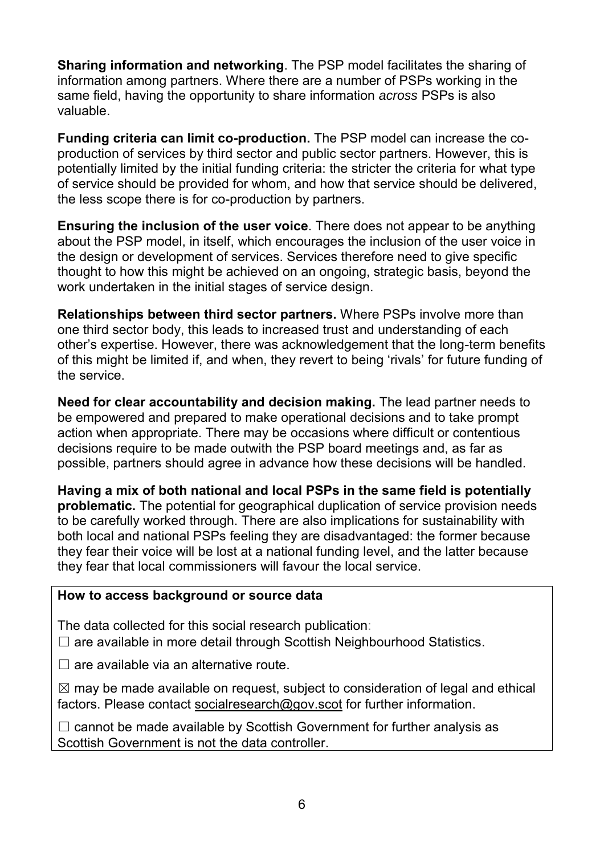**Sharing information and networking**. The PSP model facilitates the sharing of information among partners. Where there are a number of PSPs working in the same field, having the opportunity to share information *across* PSPs is also valuable.

**Funding criteria can limit co-production.** The PSP model can increase the coproduction of services by third sector and public sector partners. However, this is potentially limited by the initial funding criteria: the stricter the criteria for what type of service should be provided for whom, and how that service should be delivered, the less scope there is for co-production by partners.

**Ensuring the inclusion of the user voice**. There does not appear to be anything about the PSP model, in itself, which encourages the inclusion of the user voice in the design or development of services. Services therefore need to give specific thought to how this might be achieved on an ongoing, strategic basis, beyond the work undertaken in the initial stages of service design.

**Relationships between third sector partners.** Where PSPs involve more than one third sector body, this leads to increased trust and understanding of each other's expertise. However, there was acknowledgement that the long-term benefits of this might be limited if, and when, they revert to being 'rivals' for future funding of the service.

**Need for clear accountability and decision making.** The lead partner needs to be empowered and prepared to make operational decisions and to take prompt action when appropriate. There may be occasions where difficult or contentious decisions require to be made outwith the PSP board meetings and, as far as possible, partners should agree in advance how these decisions will be handled.

**Having a mix of both national and local PSPs in the same field is potentially problematic.** The potential for geographical duplication of service provision needs to be carefully worked through. There are also implications for sustainability with both local and national PSPs feeling they are disadvantaged: the former because they fear their voice will be lost at a national funding level, and the latter because they fear that local commissioners will favour the local service.

#### **How to access background or source data**

The data collected for this social research publication:

 $\Box$  are available in more detail through Scottish Neighbourhood Statistics.

 $\Box$  are available via an alternative route.

 $\boxtimes$  may be made available on request, subject to consideration of legal and ethical factors. Please contact socialresearch@gov.scot for further information.

 $\Box$  cannot be made available by Scottish Government for further analysis as Scottish Government is not the data controller.